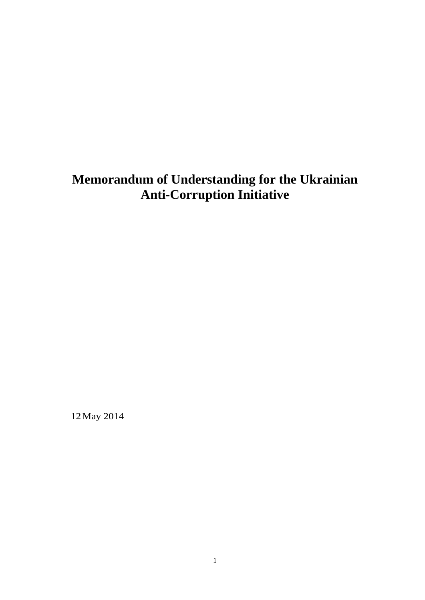# **Memorandum of Understanding for the Ukrainian Anti-Corruption Initiative**

12 May 2014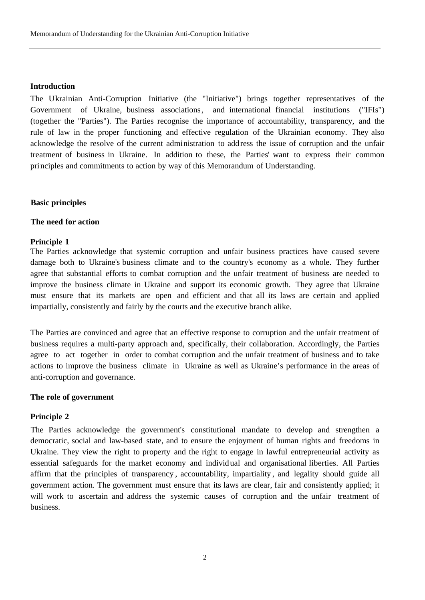#### **Introduction**

The Ukrainian Anti-Corruption Initiative (the "Initiative") brings together representatives of the Government of Ukraine, business associations, and international financial institutions ("IFIs") (together the "Parties"). The Parties recognise the importance of accountability, transparency, and the rule of law in the proper functioning and effective regulation of the Ukrainian economy. They also acknowledge the resolve of the current administration to address the issue of corruption and the unfair treatment of business in Ukraine. In addition to these, the Parties' want to express their common principles and commitments to action by way of this Memorandum of Understanding.

## **Basic principles**

#### **The need for action**

#### **Principle 1**

The Parties acknowledge that systemic corruption and unfair business practices have caused severe damage both to Ukraine's business climate and to the country's economy as a whole. They further agree that substantial efforts to combat corruption and the unfair treatment of business are needed to improve the business climate in Ukraine and support its economic growth. They agree that Ukraine must ensure that its markets are open and efficient and that all its laws are certain and applied impartially, consistently and fairly by the courts and the executive branch alike.

The Parties are convinced and agree that an effective response to corruption and the unfair treatment of business requires a multi-party approach and, specifically, their collaboration. Accordingly, the Parties agree to act together in order to combat corruption and the unfair treatment of business and to take actions to improve the business climate in Ukraine as well as Ukraine's performance in the areas of anti-corruption and governance.

## **The role of government**

## **Principle 2**

The Parties acknowledge the government's constitutional mandate to develop and strengthen a democratic, social and law-based state, and to ensure the enjoyment of human rights and freedoms in Ukraine. They view the right to property and the right to engage in lawful entrepreneurial activity as essential safeguards for the market economy and individual and organisational liberties. All Parties affirm that the principles of transparency , accountability, impartiality , and legality should guide all government action. The government must ensure that its laws are clear, fair and consistently applied; it will work to ascertain and address the systemic causes of corruption and the unfair treatment of business.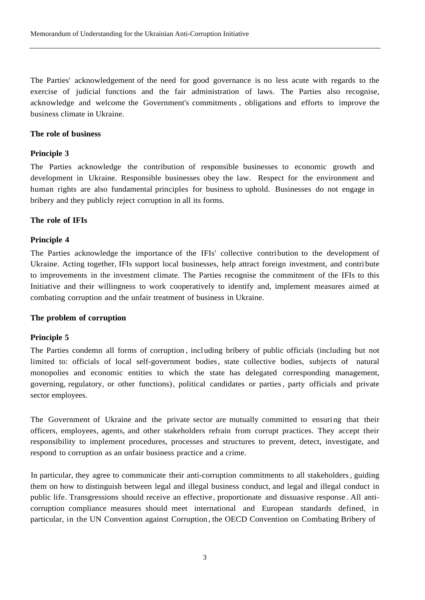The Parties' acknowledgement of the need for good governance is no less acute with regards to the exercise of judicial functions and the fair administration of laws. The Parties also recognise, acknowledge and welcome the Government's commitments , obligations and efforts to improve the business climate in Ukraine.

# **The role of business**

## **Principle 3**

The Parties acknowledge the contribution of responsible businesses to economic growth and development in Ukraine. Responsible businesses obey the law. Respect for the environment and human rights are also fundamental principles for business to uphold. Businesses do not engage in bribery and they publicly reject corruption in all its forms.

## **The role of IFIs**

## **Principle 4**

The Parties acknowledge the importance of the IFIs' collective contribution to the development of Ukraine. Acting together, IFIs support local businesses, help attract foreign investment, and contribute to improvements in the investment climate. The Parties recognise the commitment of the IFIs to this Initiative and their willingness to work cooperatively to identify and, implement measures aimed at combating corruption and the unfair treatment of business in Ukraine.

## **The problem of corruption**

## **Principle 5**

The Parties condemn all forms of corruption , including bribery of public officials (including but not limited to: officials of local self-government bodies, state collective bodies, subjects of natural monopolies and economic entities to which the state has delegated corresponding management, governing, regulatory, or other functions), political candidates or parties , party officials and private sector employees.

The Government of Ukraine and the private sector are mutually committed to ensuring that their officers, employees, agents, and other stakeholders refrain from corrupt practices. They accept their responsibility to implement procedures, processes and structures to prevent, detect, investigate, and respond to corruption as an unfair business practice and a crime.

In particular, they agree to communicate their anti-corruption commitments to all stakeholders , guiding them on how to distinguish between legal and illegal business conduct, and legal and illegal conduct in public life. Transgressions should receive an effective, proportionate and dissuasive response . All anticorruption compliance measures should meet international and European standards defined, in particular, in the UN Convention against Corruption , the OECD Convention on Combating Bribery of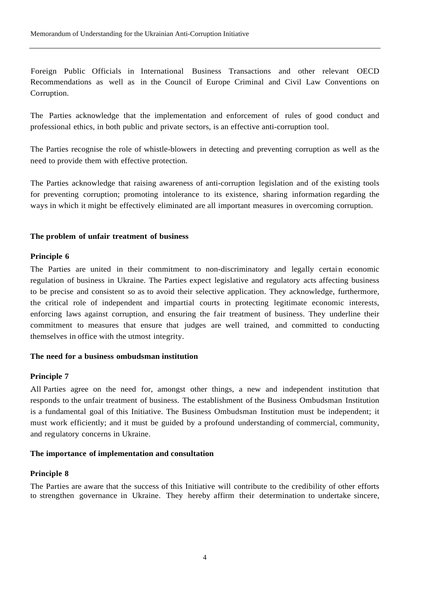Foreign Public Officials in International Business Transactions and other relevant OECD Recommendations as well as in the Council of Europe Criminal and Civil Law Conventions on Corruption.

The Parties acknowledge that the implementation and enforcement of rules of good conduct and professional ethics, in both public and private sectors, is an effective anti-corruption tool.

The Parties recognise the role of whistle-blowers in detecting and preventing corruption as well as the need to provide them with effective protection.

The Parties acknowledge that raising awareness of anti-corruption legislation and of the existing tools for preventing corruption; promoting intolerance to its existence, sharing information regarding the ways in which it might be effectively eliminated are all important measures in overcoming corruption.

# **The problem of unfair treatment of business**

# **Principle 6**

The Parties are united in their commitment to non-discriminatory and legally certain economic regulation of business in Ukraine. The Parties expect legislative and regulatory acts affecting business to be precise and consistent so as to avoid their selective application. They acknowledge, furthermore, the critical role of independent and impartial courts in protecting legitimate economic interests, enforcing laws against corruption, and ensuring the fair treatment of business. They underline their commitment to measures that ensure that judges are well trained, and committed to conducting themselves in office with the utmost integrity.

## **The need for a business ombudsman institution**

## **Principle 7**

.All Parties agree on the need for, amongst other things, a new and independent institution that responds to the unfair treatment of business. The establishment of the Business Ombudsman Institution is a fundamental goal of this Initiative. The Business Ombudsman Institution must be independent; it must work efficiently; and it must be guided by a profound understanding of commercial, community, and regulatory concerns in Ukraine.

## **The importance of implementation and consultation**

## **Principle 8**

The Parties are aware that the success of this Initiative will contribute to the credibility of other efforts to strengthen governance in Ukraine. They hereby affirm their determination to undertake sincere,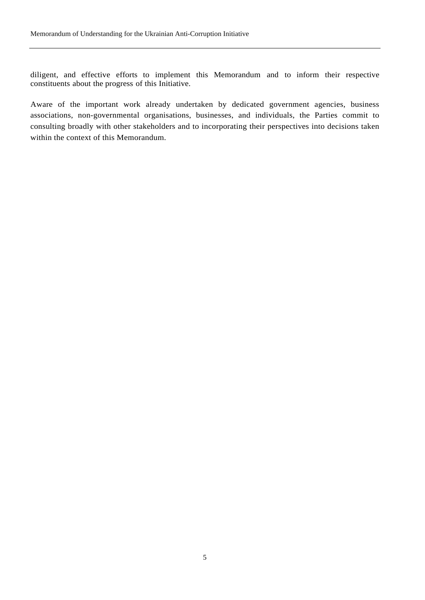diligent, and effective efforts to implement this Memorandum and to inform their respective constituents about the progress of this Initiative.

Aware of the important work already undertaken by dedicated government agencies, business associations, non-governmental organisations, businesses, and individuals, the Parties commit to consulting broadly with other stakeholders and to incorporating their perspectives into decisions taken within the context of this Memorandum.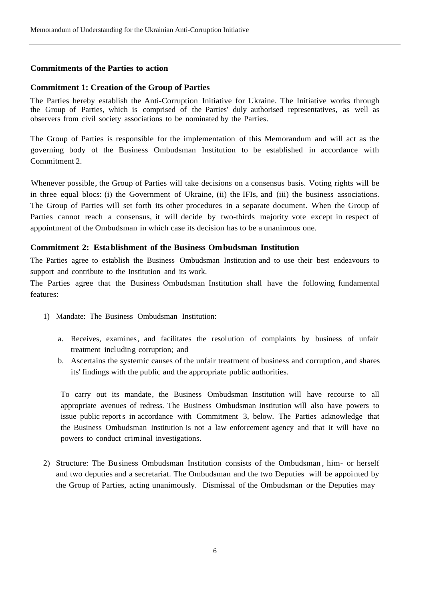# **Commitments of the Parties to action**

## **Commitment 1: Creation of the Group of Parties**

The Parties hereby establish the Anti-Corruption Initiative for Ukraine. The Initiative works through the Group of Parties, which is comprised of the Parties' duly authorised representatives, as well as observers from civil society associations to be nominated by the Parties.

The Group of Parties is responsible for the implementation of this Memorandum and will act as the governing body of the Business Ombudsman Institution to be established in accordance with Commitment 2.

Whenever possible, the Group of Parties will take decisions on a consensus basis. Voting rights will be in three equal blocs: (i) the Government of Ukraine, (ii) the IFIs, and (iii) the business associations. The Group of Parties will set forth its other procedures in a separate document. When the Group of Parties cannot reach a consensus, it will decide by two-thirds majority vote except in respect of appointment of the Ombudsman in which case its decision has to be a unanimous one.

## **Commitment 2: Establishment of the Business Ombudsman Institution**

The Parties agree to establish the Business Ombudsman Institution and to use their best endeavours to support and contribute to the Institution and its work.

The Parties agree that the Business Ombudsman Institution shall have the following fundamental features:

- 1) Mandate: The Business Ombudsman Institution:
	- a. Receives, examines, and facilitates the resolution of complaints by business of unfair treatment including corruption; and
	- b. Ascertains the systemic causes of the unfair treatment of business and corruption , and shares its' findings with the public and the appropriate public authorities.

To carry out its mandate, the Business Ombudsman Institution will have recourse to all appropriate avenues of redress. The Business Ombudsman Institution will also have powers to issue public report s in accordance with Commitment 3, below. The Parties acknowledge that the Business Ombudsman Institution is not a law enforcement agency and that it will have no powers to conduct criminal investigations.

2) Structure: The Business Ombudsman Institution consists of the Ombudsman , him- or herself and two deputies and a secretariat. The Ombudsman and the two Deputies will be appointed by the Group of Parties, acting unanimously. Dismissal of the Ombudsman or the Deputies may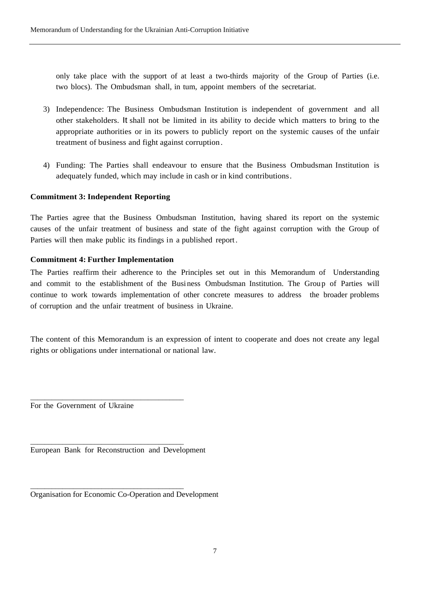only take place with the support of at least a two-thirds majority of the Group of Parties (i.e. two blocs). The Ombudsman shall, in tum, appoint members of the secretariat.

- 3) Independence: The Business Ombudsman Institution is independent of government and all other stakeholders. It shall not be limited in its ability to decide which matters to bring to the appropriate authorities or in its powers to publicly report on the systemic causes of the unfair treatment of business and fight against corruption .
- 4) Funding: The Parties shall endeavour to ensure that the Business Ombudsman Institution is adequately funded, which may include in cash or in kind contributions .

# **Commitment 3: Independent Reporting**

The Parties agree that the Business Ombudsman Institution, having shared its report on the systemic causes of the unfair treatment of business and state of the fight against corruption with the Group of Parties will then make public its findings in a published report .

## **Commitment 4: Further Implementation**

The Parties reaffirm their adherence to the Principles set out in this Memorandum of Understanding and commit to the establishment of the Busi ness Ombudsman Institution. The Group of Parties will continue to work towards implementation of other concrete measures to address the broader problems of corruption and the unfair treatment of business in Ukraine.

The content of this Memorandum is an expression of intent to cooperate and does not create any legal rights or obligations under international or national law.

For the Government of Ukraine

European Bank for Reconstruction and Development

\_\_\_\_\_\_\_\_\_\_\_\_\_\_\_\_\_\_\_\_\_\_\_\_\_\_\_\_\_\_\_\_\_\_\_\_\_\_\_\_\_\_\_

\_\_\_\_\_\_\_\_\_\_\_\_\_\_\_\_\_\_\_\_\_\_\_\_\_\_\_\_\_\_\_\_\_\_\_\_\_\_\_\_\_\_\_

\_\_\_\_\_\_\_\_\_\_\_\_\_\_\_\_\_\_\_\_\_\_\_\_\_\_\_\_\_\_\_\_\_\_\_\_\_\_\_\_\_\_\_

Organisation for Economic Co-Operation and Development